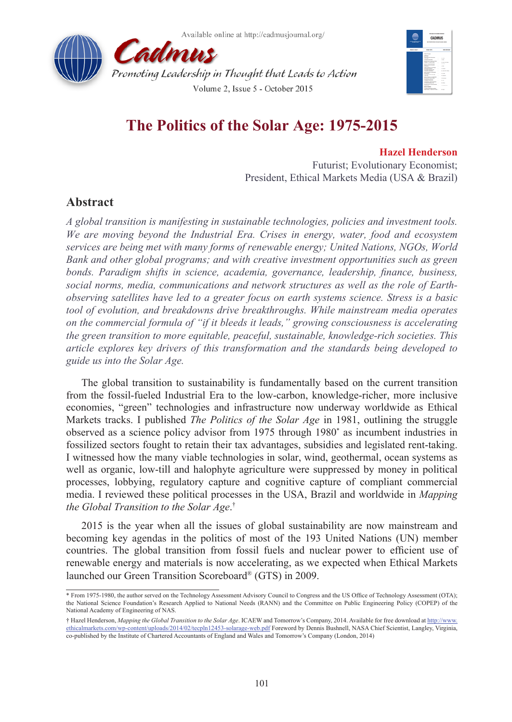



# **The Politics of the Solar Age: 1975-2015**

Volume 2. Issue 5 - October 2015

### **Hazel Henderson**

Futurist; Evolutionary Economist; President, Ethical Markets Media (USA & Brazil)

## **Abstract**

*A global transition is manifesting in sustainable technologies, policies and investment tools. We are moving beyond the Industrial Era. Crises in energy, water, food and ecosystem services are being met with many forms of renewable energy; United Nations, NGOs, World Bank and other global programs; and with creative investment opportunities such as green bonds. Paradigm shifts in science, academia, governance, leadership, finance, business, social norms, media, communications and network structures as well as the role of Earthobserving satellites have led to a greater focus on earth systems science. Stress is a basic tool of evolution, and breakdowns drive breakthroughs. While mainstream media operates on the commercial formula of "if it bleeds it leads," growing consciousness is accelerating the green transition to more equitable, peaceful, sustainable, knowledge-rich societies. This article explores key drivers of this transformation and the standards being developed to guide us into the Solar Age.*

The global transition to sustainability is fundamentally based on the current transition from the fossil-fueled Industrial Era to the low-carbon, knowledge-richer, more inclusive economies, "green" technologies and infrastructure now underway worldwide as Ethical Markets tracks. I published *The Politics of the Solar Age* in 1981, outlining the struggle observed as a science policy advisor from 1975 through 1980\* as incumbent industries in fossilized sectors fought to retain their tax advantages, subsidies and legislated rent-taking. I witnessed how the many viable technologies in solar, wind, geothermal, ocean systems as well as organic, low-till and halophyte agriculture were suppressed by money in political processes, lobbying, regulatory capture and cognitive capture of compliant commercial media. I reviewed these political processes in the USA, Brazil and worldwide in *Mapping the Global Transition to the Solar Age*. †

2015 is the year when all the issues of global sustainability are now mainstream and becoming key agendas in the politics of most of the 193 United Nations (UN) member countries. The global transition from fossil fuels and nuclear power to efficient use of renewable energy and materials is now accelerating, as we expected when Ethical Markets launched our Green Transition Scoreboard® (GTS) in 2009.

<sup>\*</sup> From 1975-1980, the author served on the Technology Assessment Advisory Council to Congress and the US Office of Technology Assessment (OTA); the National Science Foundation's Research Applied to National Needs (RANN) and the Committee on Public Engineering Policy (COPEP) of the National Academy of Engineering of NAS.

<sup>†</sup> Hazel Henderson, *Mapping the Global Transition to the Solar Age*. ICAEW and Tomorrow's Company, 2014. Available for free download at [http://www.](http://www.ethicalmarkets.com/wp-content/uploads/2014/02/tecpln12453-solarage-web.pdf) [ethicalmarkets.com/wp-content/uploads/2014/02/tecpln12453-solarage-web.pdf](http://www.ethicalmarkets.com/wp-content/uploads/2014/02/tecpln12453-solarage-web.pdf) Foreword by Dennis Bushnell, NASA Chief Scientist, Langley, Virginia, co-published by the Institute of Chartered Accountants of England and Wales and Tomorrow's Company (London, 2014)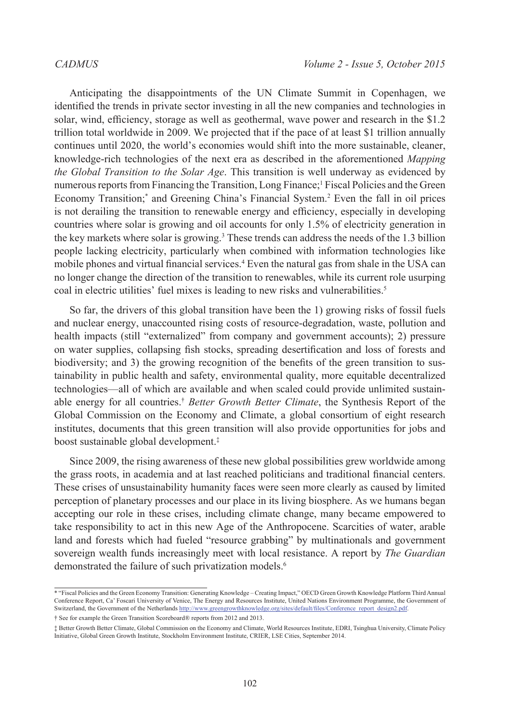Anticipating the disappointments of the UN Climate Summit in Copenhagen, we identified the trends in private sector investing in all the new companies and technologies in solar, wind, efficiency, storage as well as geothermal, wave power and research in the \$1.2 trillion total worldwide in 2009. We projected that if the pace of at least \$1 trillion annually continues until 2020, the world's economies would shift into the more sustainable, cleaner, knowledge-rich technologies of the next era as described in the aforementioned *Mapping the Global Transition to the Solar Age*. This transition is well underway as evidenced by numerous reports from Financing the Transition, Long Finance;<sup>1</sup> Fiscal Policies and the Green Economy Transition;<sup>\*</sup> and Greening China's Financial System.<sup>2</sup> Even the fall in oil prices is not derailing the transition to renewable energy and efficiency, especially in developing countries where solar is growing and oil accounts for only 1.5% of electricity generation in the key markets where solar is growing.<sup>[3](#page-9-2)</sup> These trends can address the needs of the 1.3 billion people lacking electricity, particularly when combined with information technologies like mobile phones and virtual financial services.<sup>[4](#page-9-3)</sup> Even the natural gas from shale in the USA can no longer change the direction of the transition to renewables, while its current role usurping coal in electric utilities' fuel mixes is leading to new risks and vulnerabilities.<sup>5</sup>

So far, the drivers of this global transition have been the 1) growing risks of fossil fuels and nuclear energy, unaccounted rising costs of resource-degradation, waste, pollution and health impacts (still "externalized" from company and government accounts); 2) pressure on water supplies, collapsing fish stocks, spreading desertification and loss of forests and biodiversity; and 3) the growing recognition of the benefits of the green transition to sustainability in public health and safety, environmental quality, more equitable decentralized technologies—all of which are available and when scaled could provide unlimited sustainable energy for all countries.† *Better Growth Better Climate*, the Synthesis Report of the Global Commission on the Economy and Climate, a global consortium of eight research institutes, documents that this green transition will also provide opportunities for jobs and boost sustainable global development.‡

Since 2009, the rising awareness of these new global possibilities grew worldwide among the grass roots, in academia and at last reached politicians and traditional financial centers. These crises of unsustainability humanity faces were seen more clearly as caused by limited perception of planetary processes and our place in its living biosphere. As we humans began accepting our role in these crises, including climate change, many became empowered to take responsibility to act in this new Age of the Anthropocene. Scarcities of water, arable land and forests which had fueled "resource grabbing" by multinationals and government sovereign wealth funds increasingly meet with local resistance. A report by *The Guardian* demonstrated the failure of such privatization models.<sup>[6](#page-9-5)</sup>

<sup>\* &</sup>quot;Fiscal Policies and the Green Economy Transition: Generating Knowledge – Creating Impact," OECD Green Growth Knowledge Platform Third Annual Conference Report, Ca' Foscari University of Venice, The Energy and Resources Institute, United Nations Environment Programme, the Government of Switzerland, the Government of the Netherlands [http://www.greengrowthknowledge.org/sites/default/files/Conference\\_report\\_design2.pdf](http://www.greengrowthknowledge.org/sites/default/files/Conference_report_design2.pdf)

<sup>†</sup> See for example the Green Transition Scoreboard® reports from 2012 and 2013.

<sup>‡</sup> Better Growth Better Climate, Global Commission on the Economy and Climate, World Resources Institute, EDRI, Tsinghua University, Climate Policy Initiative, Global Green Growth Institute, Stockholm Environment Institute, CRIER, LSE Cities, September 2014.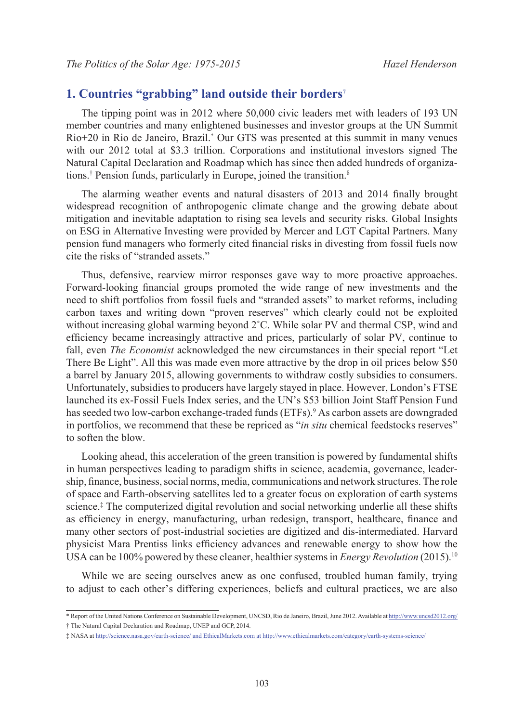### **1. Countries "grabbing" land outside their borders**[7](#page-9-6)

The tipping point was in 2012 where 50,000 civic leaders met with leaders of 193 UN member countries and many enlightened businesses and investor groups at the UN Summit Rio+20 in Rio de Janeiro, Brazil.\* Our GTS was presented at this summit in many venues with our 2012 total at \$3.3 trillion. Corporations and institutional investors signed The Natural Capital Declaration and Roadmap which has since then added hundreds of organizations.<sup>†</sup> Pension funds, particularly in Europe, joined the transition.<sup>8</sup>

The alarming weather events and natural disasters of 2013 and 2014 finally brought widespread recognition of anthropogenic climate change and the growing debate about mitigation and inevitable adaptation to rising sea levels and security risks. Global Insights on ESG in Alternative Investing were provided by Mercer and LGT Capital Partners. Many pension fund managers who formerly cited financial risks in divesting from fossil fuels now cite the risks of "stranded assets."

Thus, defensive, rearview mirror responses gave way to more proactive approaches. Forward-looking financial groups promoted the wide range of new investments and the need to shift portfolios from fossil fuels and "stranded assets" to market reforms, including carbon taxes and writing down "proven reserves" which clearly could not be exploited without increasing global warming beyond  $2^{\circ}$ C. While solar PV and thermal CSP, wind and efficiency became increasingly attractive and prices, particularly of solar PV, continue to fall, even *The Economist* acknowledged the new circumstances in their special report "Let There Be Light". All this was made even more attractive by the drop in oil prices below \$50 a barrel by January 2015, allowing governments to withdraw costly subsidies to consumers. Unfortunately, subsidies to producers have largely stayed in place. However, London's FTSE launched its ex-Fossil Fuels Index series, and the UN's \$53 billion Joint Staff Pension Fund has seeded two low-carbon exchange-traded funds (ETFs).<sup>[9](#page-9-8)</sup> As carbon assets are downgraded in portfolios, we recommend that these be repriced as "*in situ* chemical feedstocks reserves" to soften the blow.

Looking ahead, this acceleration of the green transition is powered by fundamental shifts in human perspectives leading to paradigm shifts in science, academia, governance, leadership, finance, business, social norms, media, communications and network structures. The role of space and Earth-observing satellites led to a greater focus on exploration of earth systems science.‡ The computerized digital revolution and social networking underlie all these shifts as efficiency in energy, manufacturing, urban redesign, transport, healthcare, finance and many other sectors of post-industrial societies are digitized and dis-intermediated. Harvard physicist Mara Prentiss links efficiency advances and renewable energy to show how the USA can be 100% powered by these cleaner, healthier systems in *Energy Revolution* (2015)[.10](#page-9-9)

While we are seeing ourselves anew as one confused, troubled human family, trying to adjust to each other's differing experiences, beliefs and cultural practices, we are also

<sup>\*</sup> Report of the United Nations Conference on Sustainable Development, UNCSD, Rio de Janeiro, Brazil, June 2012. Available at<http://www.uncsd2012.org/>

<sup>†</sup> The Natural Capital Declaration and Roadmap, UNEP and GCP, 2014.

<sup>‡</sup> NASA at http://science.nasa.gov/earth-science/ and EthicalMarkets.com at http://www.ethicalmarkets.com/category/earth-systems-science/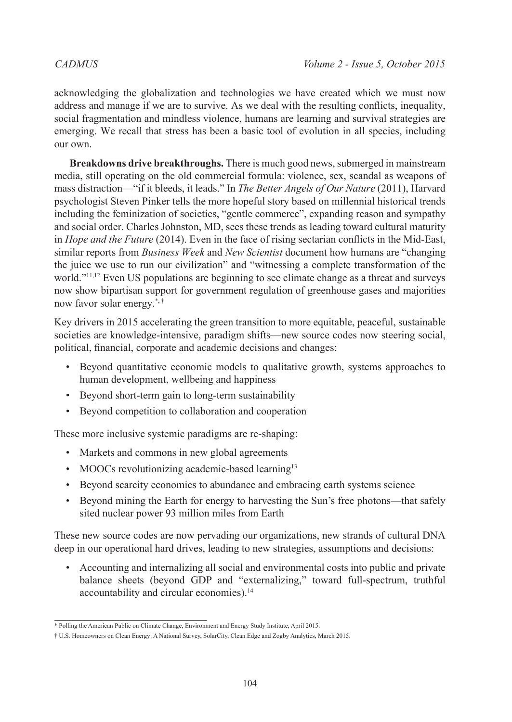acknowledging the globalization and technologies we have created which we must now address and manage if we are to survive. As we deal with the resulting conflicts, inequality, social fragmentation and mindless violence, humans are learning and survival strategies are emerging. We recall that stress has been a basic tool of evolution in all species, including our own.

**Breakdowns drive breakthroughs.** There is much good news, submerged in mainstream media, still operating on the old commercial formula: violence, sex, scandal as weapons of mass distraction—"if it bleeds, it leads." In *The Better Angels of Our Nature* (2011), Harvard psychologist Steven Pinker tells the more hopeful story based on millennial historical trends including the feminization of societies, "gentle commerce", expanding reason and sympathy and social order. Charles Johnston, MD, sees these trends as leading toward cultural maturity in *Hope and the Future* (2014). Even in the face of rising sectarian conflicts in the Mid-East, similar reports from *Business Week* and *New Scientist* document how humans are "changing the juice we use to run our civilization" and "witnessing a complete transformation of the world."<sup>11,[12](#page-9-11)</sup> Even US populations are beginning to see climate change as a threat and surveys now show bipartisan support for government regulation of greenhouse gases and majorities now favor solar energy.\*, †

Key drivers in 2015 accelerating the green transition to more equitable, peaceful, sustainable societies are knowledge-intensive, paradigm shifts—new source codes now steering social, political, financial, corporate and academic decisions and changes:

- Beyond quantitative economic models to qualitative growth, systems approaches to human development, wellbeing and happiness
- Beyond short-term gain to long-term sustainability
- Beyond competition to collaboration and cooperation

These more inclusive systemic paradigms are re-shaping:

- Markets and commons in new global agreements
- MOOCs revolutionizing academic-based learning<sup>13</sup>
- Beyond scarcity economics to abundance and embracing earth systems science
- Beyond mining the Earth for energy to harvesting the Sun's free photons—that safely sited nuclear power 93 million miles from Earth

These new source codes are now pervading our organizations, new strands of cultural DNA deep in our operational hard drives, leading to new strategies, assumptions and decisions:

• Accounting and internalizing all social and environmental costs into public and private balance sheets (beyond GDP and "externalizing," toward full-spectrum, truthful accountability and circular economies).<sup>[14](#page-9-13)</sup>

<sup>\*</sup> Polling the American Public on Climate Change, Environment and Energy Study Institute, April 2015.

<sup>†</sup> U.S. Homeowners on Clean Energy: A National Survey, SolarCity, Clean Edge and Zogby Analytics, March 2015.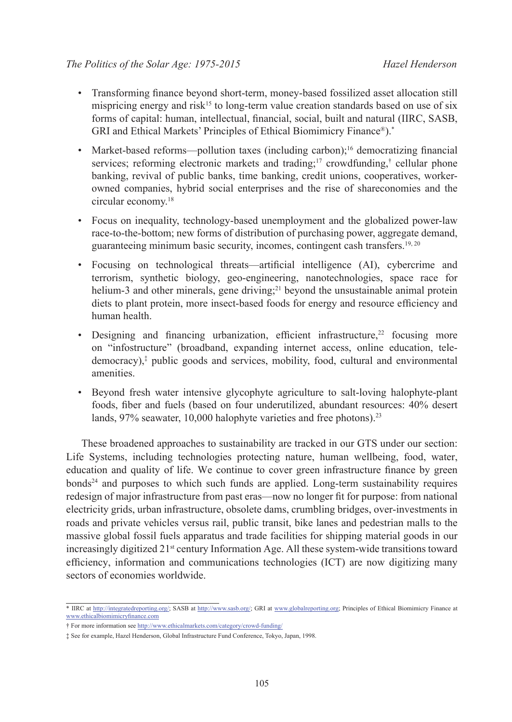- Transforming finance beyond short-term, money-based fossilized asset allocation still mispricing energy and risk<sup>[15](#page-9-14)</sup> to long-term value creation standards based on use of six forms of capital: human, intellectual, financial, social, built and natural (IIRC, SASB, GRI and Ethical Markets' Principles of Ethical Biomimicry Finance®).\*
- Market-based reforms—pollution taxes (including carbon):<sup>[16](#page-9-15)</sup> democratizing financial services; reforming electronic markets and trading;<sup>17</sup> crowdfunding,<sup>†</sup> cellular phone banking, revival of public banks, time banking, credit unions, cooperatives, workerowned companies, hybrid social enterprises and the rise of shareconomies and the circular economy.[18](#page-9-17)
- Focus on inequality, technology-based unemployment and the globalized power-law race-to-the-bottom; new forms of distribution of purchasing power, aggregate demand, guaranteeing minimum basic security, incomes, contingent cash transfers.<sup>19, [20](#page-9-19)</sup>
- Focusing on technological threats—artificial intelligence (AI), cybercrime and terrorism, synthetic biology, geo-engineering, nanotechnologies, space race for helium-3 and other minerals, gene driving;<sup>21</sup> beyond the unsustainable animal protein diets to plant protein, more insect-based foods for energy and resource efficiency and human health.
- Designing and financing urbanization, efficient infrastructure, $22$  focusing more on "infostructure" (broadband, expanding internet access, online education, teledemocracy),‡ public goods and services, mobility, food, cultural and environmental amenities.
- Beyond fresh water intensive glycophyte agriculture to salt-loving halophyte-plant foods, fiber and fuels (based on four underutilized, abundant resources: 40% desert lands, 97% seawater, 10,000 halophyte varieties and free photons).<sup>[23](#page-9-22)</sup>

These broadened approaches to sustainability are tracked in our GTS under our section: Life Systems, including technologies protecting nature, human wellbeing, food, water, education and quality of life. We continue to cover green infrastructure finance by green bond[s24](#page-9-23) and purposes to which such funds are applied. Long-term sustainability requires redesign of major infrastructure from past eras—now no longer fit for purpose: from national electricity grids, urban infrastructure, obsolete dams, crumbling bridges, over-investments in roads and private vehicles versus rail, public transit, bike lanes and pedestrian malls to the massive global fossil fuels apparatus and trade facilities for shipping material goods in our increasingly digitized  $21<sup>st</sup>$  century Information Age. All these system-wide transitions toward efficiency, information and communications technologies (ICT) are now digitizing many sectors of economies worldwide.

<sup>\*</sup> IIRC at http://integratedreporting.org/; SASB at http://www.sasb.org/; GRI at www.globalreporting.org; Principles of Ethical Biomimicry Finance at www.ethicalbiomimicryfinance.com

<sup>†</sup> For more information see http://www.ethicalmarkets.com/category/crowd-funding/

<sup>‡</sup> See for example, Hazel Henderson, Global Infrastructure Fund Conference, Tokyo, Japan, 1998.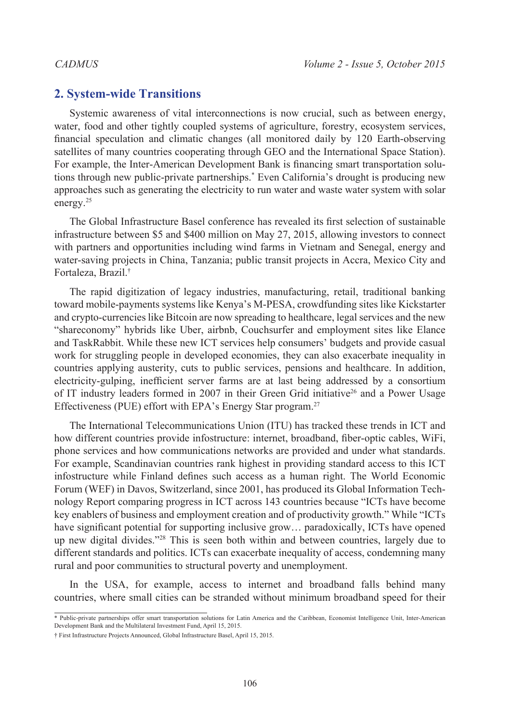### **2. System-wide Transitions**

Systemic awareness of vital interconnections is now crucial, such as between energy, water, food and other tightly coupled systems of agriculture, forestry, ecosystem services, financial speculation and climatic changes (all monitored daily by 120 Earth-observing satellites of many countries cooperating through GEO and the International Space Station). For example, the Inter-American Development Bank is financing smart transportation solutions through new public-private partnerships.\* Even California's drought is producing new approaches such as generating the electricity to run water and waste water system with solar energy.[25](#page-9-24)

The Global Infrastructure Basel conference has revealed its first selection of sustainable infrastructure between \$5 and \$400 million on May 27, 2015, allowing investors to connect with partners and opportunities including wind farms in Vietnam and Senegal, energy and water-saving projects in China, Tanzania; public transit projects in Accra, Mexico City and Fortaleza, Brazil.†

The rapid digitization of legacy industries, manufacturing, retail, traditional banking toward mobile-payments systems like Kenya's M-PESA, crowdfunding sites like Kickstarter and crypto-currencies like Bitcoin are now spreading to healthcare, legal services and the new "shareconomy" hybrids like Uber, airbnb, Couchsurfer and employment sites like Elance and TaskRabbit. While these new ICT services help consumers' budgets and provide casual work for struggling people in developed economies, they can also exacerbate inequality in countries applying austerity, cuts to public services, pensions and healthcare. In addition, electricity-gulping, inefficient server farms are at last being addressed by a consortium of IT industry leaders formed in 2007 in their Green Grid initiative<sup>26</sup> and a Power Usage Effectiveness (PUE) effort with EPA's Energy Star program.<sup>27</sup>

The International Telecommunications Union (ITU) has tracked these trends in ICT and how different countries provide infostructure: internet, broadband, fiber-optic cables, WiFi, phone services and how communications networks are provided and under what standards. For example, Scandinavian countries rank highest in providing standard access to this ICT infostructure while Finland defines such access as a human right. The World Economic Forum (WEF) in Davos, Switzerland, since 2001, has produced its Global Information Technology Report comparing progress in ICT across 143 countries because "ICTs have become key enablers of business and employment creation and of productivity growth." While "ICTs have significant potential for supporting inclusive grow... paradoxically, ICTs have opened up new digital divides.["28](#page-9-27) This is seen both within and between countries, largely due to different standards and politics. ICTs can exacerbate inequality of access, condemning many rural and poor communities to structural poverty and unemployment.

In the USA, for example, access to internet and broadband falls behind many countries, where small cities can be stranded without minimum broadband speed for their

<sup>\*</sup> Public-private partnerships offer smart transportation solutions for Latin America and the Caribbean, Economist Intelligence Unit, Inter-American Development Bank and the Multilateral Investment Fund, April 15, 2015.

<sup>†</sup> First Infrastructure Projects Announced, Global Infrastructure Basel, April 15, 2015.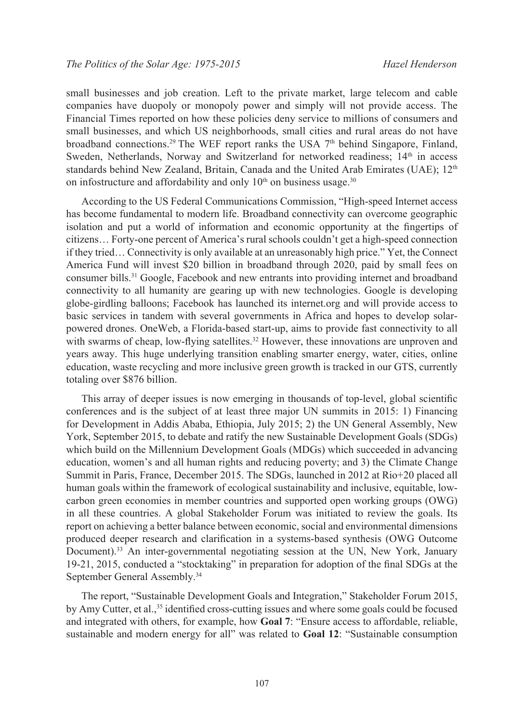small businesses and job creation. Left to the private market, large telecom and cable companies have duopoly or monopoly power and simply will not provide access. The Financial Times reported on how these policies deny service to millions of consumers and small businesses, and which US neighborhoods, small cities and rural areas do not have broadband connections.<sup>[29](#page-10-0)</sup> The WEF report ranks the USA  $7<sup>th</sup>$  behind Singapore, Finland, Sweden, Netherlands, Norway and Switzerland for networked readiness; 14<sup>th</sup> in access standards behind New Zealand, Britain, Canada and the United Arab Emirates (UAE);  $12<sup>th</sup>$ on infostructure and affordability and only  $10<sup>th</sup>$  on business usage.<sup>[30](#page-10-1)</sup>

According to the US Federal Communications Commission, "High-speed Internet access has become fundamental to modern life. Broadband connectivity can overcome geographic isolation and put a world of information and economic opportunity at the fingertips of citizens… Forty-one percent of America's rural schools couldn't get a high-speed connection if they tried… Connectivity is only available at an unreasonably high price." Yet, the Connect America Fund will invest \$20 billion in broadband through 2020, paid by small fees on consumer bills.[31](#page-10-2) Google, Facebook and new entrants into providing internet and broadband connectivity to all humanity are gearing up with new technologies. Google is developing globe-girdling balloons; Facebook has launched its internet.org and will provide access to basic services in tandem with several governments in Africa and hopes to develop solarpowered drones. OneWeb, a Florida-based start-up, aims to provide fast connectivity to all with swarms of cheap, low-flying satellites.<sup>32</sup> However, these innovations are unproven and years away. This huge underlying transition enabling smarter energy, water, cities, online education, waste recycling and more inclusive green growth is tracked in our GTS, currently totaling over \$876 billion.

This array of deeper issues is now emerging in thousands of top-level, global scientific conferences and is the subject of at least three major UN summits in 2015: 1) Financing for Development in Addis Ababa, Ethiopia, July 2015; 2) the UN General Assembly, New York, September 2015, to debate and ratify the new Sustainable Development Goals (SDGs) which build on the Millennium Development Goals (MDGs) which succeeded in advancing education, women's and all human rights and reducing poverty; and 3) the Climate Change Summit in Paris, France, December 2015. The SDGs, launched in 2012 at Rio+20 placed all human goals within the framework of ecological sustainability and inclusive, equitable, lowcarbon green economies in member countries and supported open working groups (OWG) in all these countries. A global Stakeholder Forum was initiated to review the goals. Its report on achieving a better balance between economic, social and environmental dimensions produced deeper research and clarification in a systems-based synthesis (OWG Outcome Document).[33](#page-10-4) An inter-governmental negotiating session at the UN, New York, January 19-21, 2015, conducted a "stocktaking" in preparation for adoption of the final SDGs at the September General Assembly.<sup>34</sup>

The report, "Sustainable Development Goals and Integration," Stakeholder Forum 2015, by Amy Cutter, et al.[,35](#page-10-6) identified cross-cutting issues and where some goals could be focused and integrated with others, for example, how **Goal 7**: "Ensure access to affordable, reliable, sustainable and modern energy for all" was related to **Goal 12**: "Sustainable consumption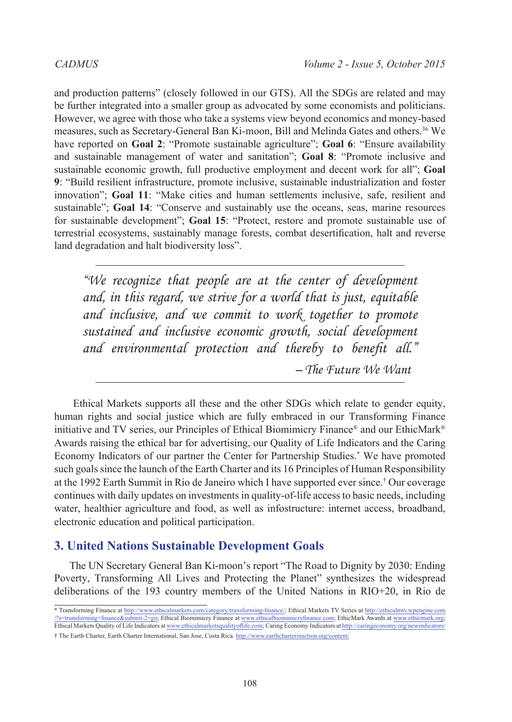and production patterns" (closely followed in our GTS). All the SDGs are related and may be further integrated into a smaller group as advocated by some economists and politicians. However, we agree with those who take a systems view beyond economics and money-based measures, such as Secretary-General Ban Ki-moon, Bill and Melinda Gates and others[.36](#page-10-7) We have reported on **Goal 2**: "Promote sustainable agriculture"; **Goal 6**: "Ensure availability and sustainable management of water and sanitation"; **Goal 8**: "Promote inclusive and sustainable economic growth, full productive employment and decent work for all"; **Goal 9**: "Build resilient infrastructure, promote inclusive, sustainable industrialization and foster innovation"; **Goal 11**: "Make cities and human settlements inclusive, safe, resilient and sustainable"; **Goal 14**: "Conserve and sustainably use the oceans, seas, marine resources for sustainable development"; **Goal 15**: "Protect, restore and promote sustainable use of terrestrial ecosystems, sustainably manage forests, combat desertification, halt and reverse land degradation and halt biodiversity loss".

*"We recognize that people are at the center of development and, in this regard, we strive for a world that is just, equitable and inclusive, and we commit to work together to promote sustained and inclusive economic growth, social development and environmental protection and thereby to benefit all." – The Future We Want*

Ethical Markets supports all these and the other SDGs which relate to gender equity, human rights and social justice which are fully embraced in our Transforming Finance initiative and TV series, our Principles of Ethical Biomimicry Finance® and our EthicMark® Awards raising the ethical bar for advertising, our Quality of Life Indicators and the Caring Economy Indicators of our partner the Center for Partnership Studies.\* We have promoted such goals since the launch of the Earth Charter and its 16 Principles of Human Responsibility at the 1992 Earth Summit in Rio de Janeiro which I have supported ever since.† Our coverage continues with daily updates on investments in quality-of-life access to basic needs, including water, healthier agriculture and food, as well as infostructure: internet access, broadband, electronic education and political participation.

# **3. United Nations Sustainable Development Goals**

The UN Secretary General Ban Ki-moon's report "The Road to Dignity by 2030: Ending Poverty, Transforming All Lives and Protecting the Planet" synthesizes the widespread deliberations of the 193 country members of the United Nations in RIO+20, in Rio de

<sup>\*</sup> Transforming Finance at http://www.ethicalmarkets.com/category/transforming-finance/; Ethical Markets TV Series at [http://ethicalmtv.wpengine.com](http://ethicalmtv.wpengine.com/%3Fs%3Dtransforming%2Bfinance%26submit-2%3Dgo) [/?s=transforming+finance&submit-2=go](http://ethicalmtv.wpengine.com/%3Fs%3Dtransforming%2Bfinance%26submit-2%3Dgo); Ethical Biomimicry Finance at www.ethicalbiomimicryfinance.com; EthicMark Awards at www.ethicmark.org; Ethical Markets Quality of Life Indicators at www.ethicalmarketsqualityoflife.com; Caring Economy Indicators at http://caringeconomy.org/newindicators/ † The Earth Charter, Earth Charter International, San Jose, Costa Rica. http://www.earthcharterinaction.org/content/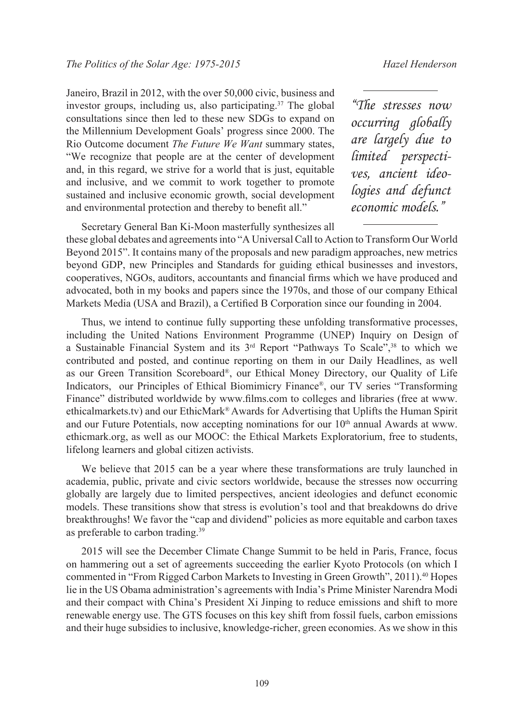Janeiro, Brazil in 2012, with the over 50,000 civic, business and investor groups, including us, also participating.<sup>37</sup> The global consultations since then led to these new SDGs to expand on the Millennium Development Goals' progress since 2000. The Rio Outcome document *The Future We Want* summary states, "We recognize that people are at the center of development and, in this regard, we strive for a world that is just, equitable and inclusive, and we commit to work together to promote sustained and inclusive economic growth, social development and environmental protection and thereby to benefit all."

*"The stresses now occurring globally are largely due to limited perspectives, ancient ideologies and defunct economic models."*

Secretary General Ban Ki-Moon masterfully synthesizes all these global debates and agreements into "A Universal Call to Action to Transform Our World Beyond 2015". It contains many of the proposals and new paradigm approaches, new metrics beyond GDP, new Principles and Standards for guiding ethical businesses and investors, cooperatives, NGOs, auditors, accountants and financial firms which we have produced and advocated, both in my books and papers since the 1970s, and those of our company Ethical Markets Media (USA and Brazil), a Certified B Corporation since our founding in 2004.

Thus, we intend to continue fully supporting these unfolding transformative processes, including the United Nations Environment Programme (UNEP) Inquiry on Design of a Sustainable Financial System and its  $3<sup>rd</sup>$  Report "Pathways To Scale",<sup>38</sup> to which we contributed and posted, and continue reporting on them in our Daily Headlines, as well as our Green Transition Scoreboard®, our Ethical Money Directory, our Quality of Life Indicators, our Principles of Ethical Biomimicry Finance®, our TV series "Transforming Finance" distributed worldwide by www.films.com to colleges and libraries (free at www. ethicalmarkets.tv) and our EthicMark® Awards for Advertising that Uplifts the Human Spirit and our Future Potentials, now accepting nominations for our  $10<sup>th</sup>$  annual Awards at www. ethicmark.org, as well as our MOOC: the Ethical Markets Exploratorium, free to students, lifelong learners and global citizen activists.

We believe that 2015 can be a year where these transformations are truly launched in academia, public, private and civic sectors worldwide, because the stresses now occurring globally are largely due to limited perspectives, ancient ideologies and defunct economic models. These transitions show that stress is evolution's tool and that breakdowns do drive breakthroughs! We favor the "cap and dividend" policies as more equitable and carbon taxes as preferable to carbon trading[.39](#page-10-10)

2015 will see the December Climate Change Summit to be held in Paris, France, focus on hammering out a set of agreements succeeding the earlier Kyoto Protocols (on which I commented in "From Rigged Carbon Markets to Investing in Green Growth", 2011)[.40](#page-10-11) Hopes lie in the US Obama administration's agreements with India's Prime Minister Narendra Modi and their compact with China's President Xi Jinping to reduce emissions and shift to more renewable energy use. The GTS focuses on this key shift from fossil fuels, carbon emissions and their huge subsidies to inclusive, knowledge-richer, green economies. As we show in this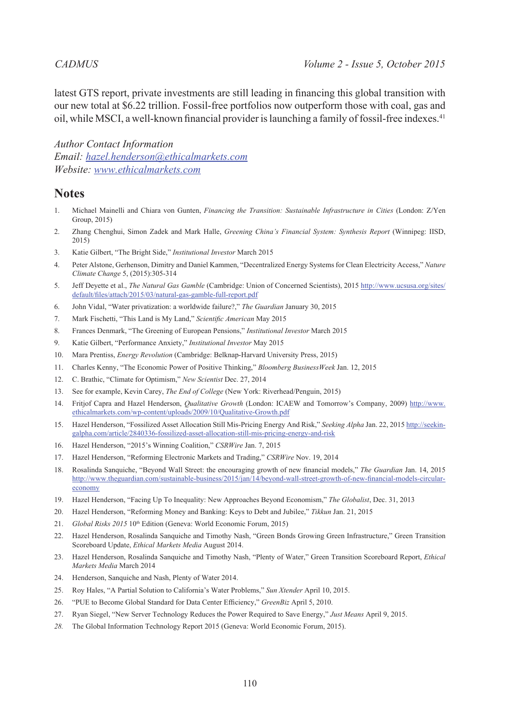latest GTS report, private investments are still leading in financing this global transition with our new total at \$6.22 trillion. Fossil-free portfolios now outperform those with coal, gas and oil, while MSCI, a well-known financial provider is launching a family of fossil-free indexes.[41](#page-10-12)

*Author Contact Information Email: [hazel.henderson@ethicalmarkets.com](mailto:hazel.henderson%40ethicalmarkets.com?subject=) Website: [www.ethicalmarkets.com](hazel.henderson%40ethicalmarkets.com)*

### **Notes**

- <span id="page-9-0"></span>1. Michael Mainelli and Chiara von Gunten, *Financing the Transition: Sustainable Infrastructure in Cities* (London: Z/Yen Group, 2015)
- <span id="page-9-1"></span>2. Zhang Chenghui, Simon Zadek and Mark Halle, *Greening China's Financial System: Synthesis Report* (Winnipeg: IISD, 2015)
- <span id="page-9-2"></span>3. Katie Gilbert, "The Bright Side," *Institutional Investor* March 2015
- <span id="page-9-3"></span>4. Peter Alstone, Gerhenson, Dimitry and Daniel Kammen, "Decentralized Energy Systems for Clean Electricity Access," *Nature Climate Change* 5, (2015):305-314
- <span id="page-9-4"></span>5. Jeff Deyette et al., *The Natural Gas Gamble* (Cambridge: Union of Concerned Scientists), 2015 [http://www.ucsusa.org/sites/](http://www.ucsusa.org/sites/default/files/attach/2015/03/natural-gas-gamble-full-report.pdf) [default/files/attach/2015/03/natural-gas-gamble-full-report.pdf](http://www.ucsusa.org/sites/default/files/attach/2015/03/natural-gas-gamble-full-report.pdf)
- <span id="page-9-5"></span>6. John Vidal, "Water privatization: a worldwide failure?," *The Guardian* January 30, 2015
- <span id="page-9-6"></span>7. Mark Fischetti, "This Land is My Land," *Scientific American* May 2015
- <span id="page-9-7"></span>8. Frances Denmark, "The Greening of European Pensions," *Institutional Investor* March 2015
- <span id="page-9-8"></span>9. Katie Gilbert, "Performance Anxiety," *Institutional Investor* May 2015
- <span id="page-9-9"></span>10. Mara Prentiss, *Energy Revolution* (Cambridge: Belknap-Harvard University Press, 2015)
- <span id="page-9-10"></span>11. Charles Kenny, "The Economic Power of Positive Thinking," *Bloomberg BusinessWeek* Jan. 12, 2015
- <span id="page-9-11"></span>12. C. Brathic, "Climate for Optimism," *New Scientist* Dec. 27, 2014
- <span id="page-9-12"></span>13. See for example, Kevin Carey, *The End of College* (New York: Riverhead/Penguin, 2015)
- <span id="page-9-13"></span>14. Fritjof Capra and Hazel Henderson, *Qualitative Growth* (London: ICAEW and Tomorrow's Company, 2009) [http://www.](http://www.ethicalmarkets.com/wp-content/uploads/2009/10/Qualitative-Growth.pdf) [ethicalmarkets.com/wp-content/uploads/2009/10/Qualitative-Growth.pdf](http://www.ethicalmarkets.com/wp-content/uploads/2009/10/Qualitative-Growth.pdf)
- <span id="page-9-14"></span>15. Hazel Henderson, "Fossilized Asset Allocation Still Mis-Pricing Energy And Risk," *Seeking Alpha* Jan. 22, 2015 http://seekingalpha.com/article/2840336-fossilized-asset-allocation-still-mis-pricing-energy-and-risk
- <span id="page-9-15"></span>16. Hazel Henderson, "2015's Winning Coalition," *CSRWire* Jan. 7, 2015
- <span id="page-9-16"></span>17. Hazel Henderson, "Reforming Electronic Markets and Trading," *CSRWire* Nov. 19, 2014
- <span id="page-9-17"></span>18. Rosalinda Sanquiche, "Beyond Wall Street: the encouraging growth of new financial models," *The Guardian* Jan. 14, 2015 [http://www.theguardian.com/sustainable-business/2015/jan/14/beyond-wall-street-growth-of-new-financial-models-circular](http://www.theguardian.com/sustainable-business/2015/jan/14/beyond-wall-street-growth-of-new-financial-models-circular-economy)[economy](http://www.theguardian.com/sustainable-business/2015/jan/14/beyond-wall-street-growth-of-new-financial-models-circular-economy)
- <span id="page-9-19"></span><span id="page-9-18"></span>19. Hazel Henderson, "Facing Up To Inequality: New Approaches Beyond Economism," *The Globalist*, Dec. 31, 2013
- 20. Hazel Henderson, "Reforming Money and Banking: Keys to Debt and Jubilee," *Tikkun* Jan. 21, 2015
- <span id="page-9-20"></span>21. *Global Risks 2015* 10<sup>th</sup> Edition (Geneva: World Economic Forum, 2015)
- <span id="page-9-21"></span>22. Hazel Henderson, Rosalinda Sanquiche and Timothy Nash, "Green Bonds Growing Green Infrastructure," Green Transition Scoreboard Update, *Ethical Markets Media* August 2014.
- <span id="page-9-22"></span>23. Hazel Henderson, Rosalinda Sanquiche and Timothy Nash, "Plenty of Water," Green Transition Scoreboard Report, *Ethical Markets Media* March 2014
- <span id="page-9-23"></span>24. Henderson, Sanquiche and Nash, Plenty of Water 2014.
- <span id="page-9-24"></span>25. Roy Hales, "A Partial Solution to California's Water Problems," *Sun Xtender* April 10, 2015.
- <span id="page-9-25"></span>26. "PUE to Become Global Standard for Data Center Efficiency," *GreenBiz* April 5, 2010.
- <span id="page-9-26"></span>27. Ryan Siegel, "New Server Technology Reduces the Power Required to Save Energy," *Just Means* April 9, 2015.
- <span id="page-9-27"></span>*28.* The Global Information Technology Report 2015 (Geneva: World Economic Forum, 2015).